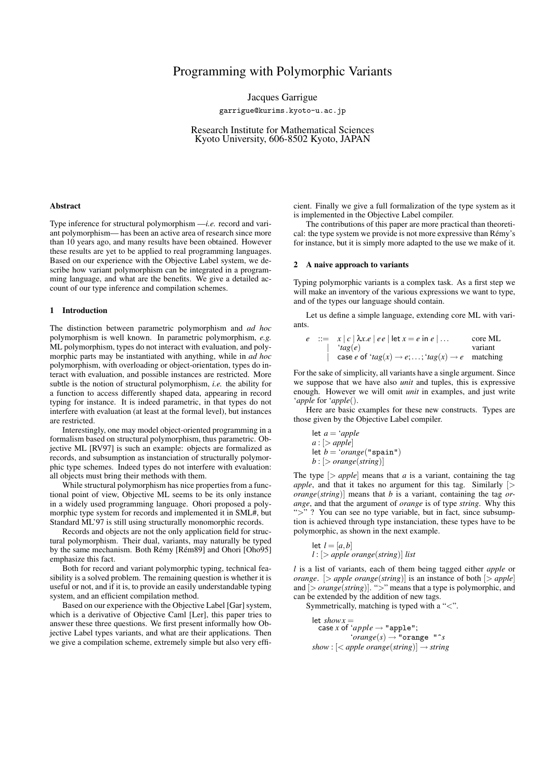# Programming with Polymorphic Variants

Jacques Garrigue

garrigue@kurims.kyoto-u.ac.jp

Research Institute for Mathematical Sciences Kyoto University, 606-8502 Kyoto, JAPAN

#### Abstract

Type inference for structural polymorphism —*i.e.* record and variant polymorphism— has been an active area of research since more than 10 years ago, and many results have been obtained. However these results are yet to be applied to real programming languages. Based on our experience with the Objective Label system, we describe how variant polymorphism can be integrated in a programming language, and what are the benefits. We give a detailed account of our type inference and compilation schemes.

#### 1 Introduction

The distinction between parametric polymorphism and *ad hoc* polymorphism is well known. In parametric polymorphism, *e.g.* ML polymorphism, types do not interact with evaluation, and polymorphic parts may be instantiated with anything, while in *ad hoc* polymorphism, with overloading or object-orientation, types do interact with evaluation, and possible instances are restricted. More subtle is the notion of structural polymorphism, *i.e.* the ability for a function to access differently shaped data, appearing in record typing for instance. It is indeed parametric, in that types do not interfere with evaluation (at least at the formal level), but instances are restricted.

Interestingly, one may model object-oriented programming in a formalism based on structural polymorphism, thus parametric. Objective ML [RV97] is such an example: objects are formalized as records, and subsumption as instanciation of structurally polymorphic type schemes. Indeed types do not interfere with evaluation: all objects must bring their methods with them.

While structural polymorphism has nice properties from a functional point of view, Objective ML seems to be its only instance in a widely used programming language. Ohori proposed a polymorphic type system for records and implemented it in SML#, but Standard ML'97 is still using structurally monomorphic records.

Records and objects are not the only application field for structural polymorphism. Their dual, variants, may naturally be typed by the same mechanism. Both Rémy [Rém89] and Ohori [Oho95] emphasize this fact.

Both for record and variant polymorphic typing, technical feasibility is a solved problem. The remaining question is whether it is useful or not, and if it is, to provide an easily understandable typing system, and an efficient compilation method.

Based on our experience with the Objective Label [Gar] system, which is a derivative of Objective Caml [Ler], this paper tries to answer these three questions. We first present informally how Objective Label types variants, and what are their applications. Then we give a compilation scheme, extremely simple but also very efficient. Finally we give a full formalization of the type system as it is implemented in the Objective Label compiler.

The contributions of this paper are more practical than theoretical: the type system we provide is not more expressive than Rémy's for instance, but it is simply more adapted to the use we make of it.

## 2 A naive approach to variants

Typing polymorphic variants is a complex task. As a first step we will make an inventory of the various expressions we want to type, and of the types our language should contain.

Let us define a simple language, extending core ML with variants.

$$
e ::= x | c | \lambda x.e | ee | let x = e in e | ...
$$
  
\n
$$
'tag(e)
$$
  
\n
$$
case e of 'tag(x) \to e, ...; 'tag(x) \to e
$$
 matching

For the sake of simplicity, all variants have a single argument. Since we suppose that we have also *unit* and tuples, this is expressive enough. However we will omit *unit* in examples, and just write '*apple* for '*apple*().

Here are basic examples for these new constructs. Types are those given by the Objective Label compiler.

$$
let a = 'apple
$$
\n
$$
a : [> apple]
$$
\n
$$
let b = 'orange("span")
$$
\n
$$
b : [> orange(string)]
$$

The type  $\geq$  *apple* means that *a* is a variant, containing the tag *apple*, and that it takes no argument for this tag. Similarly [*> orange*(*string*)] means that *b* is a variant, containing the tag *orange*, and that the argument of *orange* is of type *string*. Why this ">" ? You can see no type variable, but in fact, since subsumption is achieved through type instanciation, these types have to be polymorphic, as shown in the next example.

$$
let l = [a,b]
$$
  
l : [> apple orange(string)] list

*l* is a list of variants, each of them being tagged either *apple* or *orange*. [*> apple orange*(*string*)] is an instance of both [*> apple*] and [*> orange*(*string*)]. "*>*" means that a type is polymorphic, and can be extended by the addition of new tags.

Symmetrically, matching is typed with a "*<*".

let  $\textit{show} x =$  $\csc x$  of  $\csc x$   $\neq$  "apple";  $'orange(s) \rightarrow "orange "s$  $show:$   $\leq$  *apple orange*(*string*) $\Rightarrow$  *string*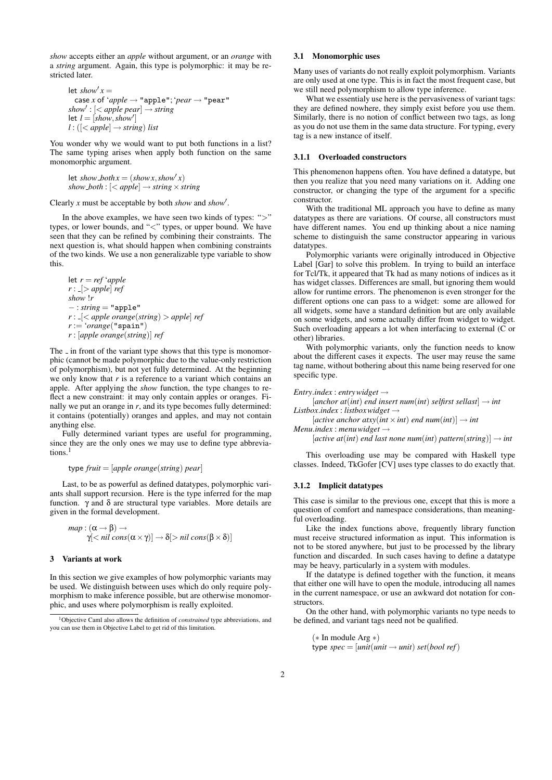*show* accepts either an *apple* without argument, or an *orange* with a *string* argument. Again, this type is polymorphic: it may be restricted later.

let  $\textit{show}' x =$ case *x* of  $'apple \rightarrow "apple"; 'pear \rightarrow "pear"$  $show' : [*apple~pear*] \rightarrow string$  $let$   $l = [show, show']$  $l : ( \mid  $\langle$  *apple* |  $\rightarrow$  *string ) list*$ 

You wonder why we would want to put both functions in a list? The same typing arises when apply both function on the same monomorphic argument.

let *show\_both* $x = (showx, show'x)$  $show\_both:$   $\leq$  *apple* $\Rightarrow$  *string*  $\times$  *string* 

Clearly *x* must be acceptable by both *show* and *show*<sup>'</sup>.

In the above examples, we have seen two kinds of types: "*>*" types, or lower bounds, and "*<*" types, or upper bound. We have seen that they can be refined by combining their constraints. The next question is, what should happen when combining constraints of the two kinds. We use a non generalizable type variable to show this.

let  $r = ref$  *'apple r* : [*> apple*] *ref show* !*r −* : *string* = "apple" *r* : [*< apple orange*(*string*) *> apple*] *ref r* := '*orange*("spain") *r* : [*apple orange*(*string*)] *ref*

The  $\overline{\phantom{a}}$  in front of the variant type shows that this type is monomorphic (cannot be made polymorphic due to the value-only restriction of polymorphism), but not yet fully determined. At the beginning we only know that *r* is a reference to a variant which contains an apple. After applying the *show* function, the type changes to reflect a new constraint: it may only contain apples or oranges. Finally we put an orange in *r*, and its type becomes fully determined: it contains (potentially) oranges and apples, and may not contain anything else.

Fully determined variant types are useful for programming, since they are the only ones we may use to define type abbreviations.<sup>1</sup>

$$
type \textit{fruit} = \text{[apple \textit{orange}(string) \textit{pear}]}
$$

Last, to be as powerful as defined datatypes, polymorphic variants shall support recursion. Here is the type inferred for the map function. γ and δ are structural type variables. More details are given in the formal development.

$$
map: (\alpha \rightarrow \beta) \rightarrow \gamma[nil cons(\alpha \times \gamma)] \rightarrow \delta[> nil cons(\beta \times \delta)]
$$

#### 3 Variants at work

In this section we give examples of how polymorphic variants may be used. We distinguish between uses which do only require polymorphism to make inference possible, but are otherwise monomorphic, and uses where polymorphism is really exploited.

## 3.1 Monomorphic uses

Many uses of variants do not really exploit polymorphism. Variants are only used at one type. This is in fact the most frequent case, but we still need polymorphism to allow type inference.

What we essentialy use here is the pervasiveness of variant tags: they are defined nowhere, they simply exist before you use them. Similarly, there is no notion of conflict between two tags, as long as you do not use them in the same data structure. For typing, every tag is a new instance of itself.

#### 3.1.1 Overloaded constructors

This phenomenon happens often. You have defined a datatype, but then you realize that you need many variations on it. Adding one constructor, or changing the type of the argument for a specific constructor.

With the traditional ML approach you have to define as many datatypes as there are variations. Of course, all constructors must have different names. You end up thinking about a nice naming scheme to distinguish the same constructor appearing in various datatypes.

Polymorphic variants were originally introduced in Objective Label [Gar] to solve this problem. In trying to build an interface for Tcl/Tk, it appeared that Tk had as many notions of indices as it has widget classes. Differences are small, but ignoring them would allow for runtime errors. The phenomenon is even stronger for the different options one can pass to a widget: some are allowed for all widgets, some have a standard definition but are only available on some widgets, and some actually differ from widget to widget. Such overloading appears a lot when interfacing to external (C or other) libraries.

With polymorphic variants, only the function needs to know about the different cases it expects. The user may reuse the same tag name, without bothering about this name being reserved for one specific type.

```
Entry.index : entrywidget →
```
 $[anchor at(int) end insert num(int) selfirst sellast] \rightarrow int$ *Listbox.index* : *listboxwidget →*

 $[active\;anchor\;atxy(int \times int)\;end\;num(int)] \rightarrow int$ 

*Menu.index* : *menuwidget →*

 $[active\ at(int)\ end\ last\ none\ num(int)\ pattern(string)] \rightarrow int$ 

This overloading use may be compared with Haskell type classes. Indeed, TkGofer [CV] uses type classes to do exactly that.

## 3.1.2 Implicit datatypes

This case is similar to the previous one, except that this is more a question of comfort and namespace considerations, than meaningful overloading.

Like the index functions above, frequently library function must receive structured information as input. This information is not to be stored anywhere, but just to be processed by the library function and discarded. In such cases having to define a datatype may be heavy, particularly in a system with modules.

If the datatype is defined together with the function, it means that either one will have to open the module, introducing all names in the current namespace, or use an awkward dot notation for constructors.

On the other hand, with polymorphic variants no type needs to be defined, and variant tags need not be qualified.

$$
(* In module Arg *)type spec = [unit(unit) unit) set(bool ref)
$$

<sup>1</sup>Objective Caml also allows the definition of *constrained* type abbreviations, and you can use them in Objective Label to get rid of this limitation.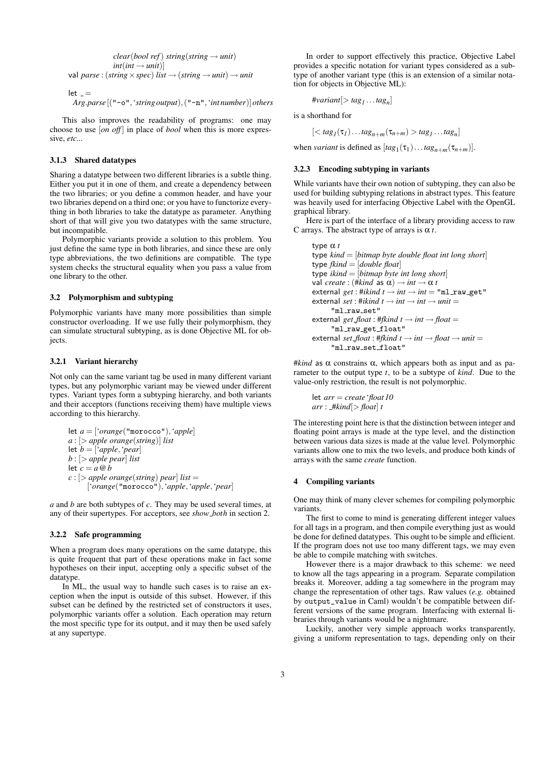$$
clear(bool\ ref) \ string(String \rightarrow unit)
$$
  
 
$$
int(int \rightarrow unit)]
$$
  
 
$$
val\ parse: (string \times spec) \ list \rightarrow (string \rightarrow unit) \rightarrow unit
$$

$$
\begin{array}{l} let \_ =\\ Arg.\space parse\left[ (\text{``-o''}, \text{'string output}), (\text{``-n''}, \text{``int number}) \right] others \end{array}
$$

This also improves the readability of programs: one may choose to use [*on off* ] in place of *bool* when this is more expressive, *etc...*

# 3.1.3 Shared datatypes

Sharing a datatype between two different libraries is a subtle thing. Either you put it in one of them, and create a dependency between the two libraries; or you define a common header, and have your two libraries depend on a third one; or you have to functorize everything in both libraries to take the datatype as parameter. Anything short of that will give you two datatypes with the same structure, but incompatible.

Polymorphic variants provide a solution to this problem. You just define the same type in both libraries, and since these are only type abbreviations, the two definitions are compatible. The type system checks the structural equality when you pass a value from one library to the other.

## 3.2 Polymorphism and subtyping

Polymorphic variants have many more possibilities than simple constructor overloading. If we use fully their polymorphism, they can simulate structural subtyping, as is done Objective ML for objects.

## 3.2.1 Variant hierarchy

Not only can the same variant tag be used in many different variant types, but any polymorphic variant may be viewed under different types. Variant types form a subtyping hierarchy, and both variants and their acceptors (functions receiving them) have multiple views according to this hierarchy.

let 
$$
a = [\text{orange}(\text{morococ})', \text{apple}]
$$
  
\n $a : [> apple orange(string)]$  list  
\nlet  $b = [\text{apple}, \text{year}]$   
\n $b : [> apple~pear]$  list  
\nlet  $c = a @ b$   
\n $c : [> apple~orange(string)~pear]$  list =  
\n $[\text{orange}(\text{morococ})', \text{apple}, \text{'apple}, \text{'pear}]$ 

*a* and *b* are both subtypes of *c*. They may be used several times, at any of their supertypes. For acceptors, see *show both* in section 2.

#### 3.2.2 Safe programming

When a program does many operations on the same datatype, this is quite frequent that part of these operations make in fact some hypotheses on their input, accepting only a specific subset of the datatype.

In ML, the usual way to handle such cases is to raise an exception when the input is outside of this subset. However, if this subset can be defined by the restricted set of constructors it uses, polymorphic variants offer a solution. Each operation may return the most specific type for its output, and it may then be used safely at any supertype.

In order to support effectively this practice, Objective Label provides a specific notation for variant types considered as a subtype of another variant type (this is an extension of a similar notation for objects in Objective ML):

#*variant*[*> tag<sup>1</sup> ...tag<sup>n</sup>* ]

is a shorthand for

$$
[< tag_1(\tau_1)... tag_{n+m}(\tau_{n+m}) > tag_1...tag_n]
$$

when *variant* is defined as  $[tag_1(\tau_1)... tag_{n+m}(\tau_{n+m})]$ .

## 3.2.3 Encoding subtyping in variants

While variants have their own notion of subtyping, they can also be used for building subtyping relations in abstract types. This feature was heavily used for interfacing Objective Label with the OpenGL graphical library.

Here is part of the interface of a library providing access to raw C arrays. The abstract type of arrays is  $\alpha t$ .

```
type α t
type kind = [bitmap byte double float int long short]
type fkind = [double float]
type ikind = [bitmap byte int long short]
val create : (#kind as \alpha) \rightarrow int \rightarrow \alpha t
ext{central get : \#ikind t \rightarrow int \rightarrow int} = "ml_raw_get"external set : #ikind t \rightarrow int \rightarrow int \rightarrow unit ="ml_raw_set"
ext{1}get_float : #fkind t \rightarrow int \rightarrow float"ml_raw_get_float"
ext{1} external set_float : #fkind t \rightarrow int \rightarrow float \rightarrow unit ="ml raw set float"
```
 $#kind$  as  $\alpha$  constrains  $\alpha$ , which appears both as input and as parameter to the output type *t*, to be a subtype of *kind*. Due to the value-only restriction, the result is not polymorphic.

let *arr* = *create* '*float 10*  $arr$ :  $\# kind$ *[> float*] *t* 

The interesting point here is that the distinction between integer and floating point arrays is made at the type level, and the distinction between various data sizes is made at the value level. Polymorphic variants allow one to mix the two levels, and produce both kinds of arrays with the same *create* function.

#### 4 Compiling variants

One may think of many clever schemes for compiling polymorphic variants.

The first to come to mind is generating different integer values for all tags in a program, and then compile everything just as would be done for defined datatypes. This ought to be simple and efficient. If the program does not use too many different tags, we may even be able to compile matching with switches.

However there is a major drawback to this scheme: we need to know all the tags appearing in a program. Separate compilation breaks it. Moreover, adding a tag somewhere in the program may change the representation of other tags. Raw values (*e.g.* obtained by output\_value in Caml) wouldn't be compatible between different versions of the same program. Interfacing with external libraries through variants would be a nightmare.

Luckily, another very simple approach works transparently, giving a uniform representation to tags, depending only on their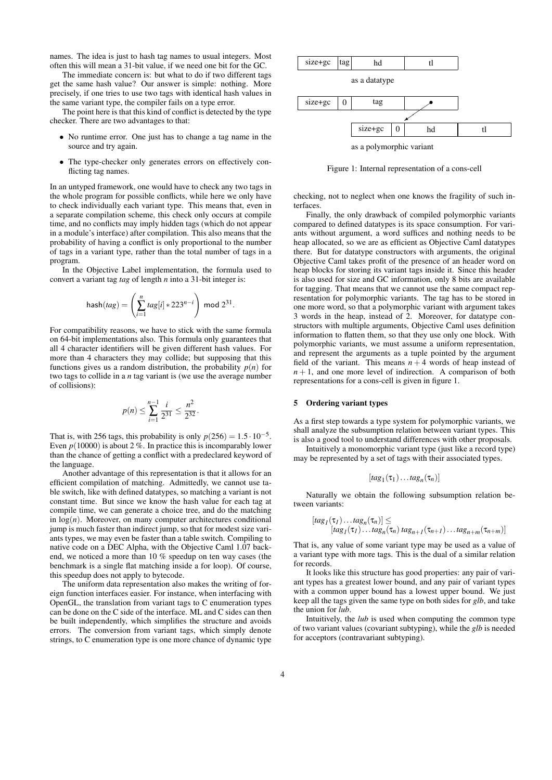names. The idea is just to hash tag names to usual integers. Most often this will mean a 31-bit value, if we need one bit for the GC.

The immediate concern is: but what to do if two different tags get the same hash value? Our answer is simple: nothing. More precisely, if one tries to use two tags with identical hash values in the same variant type, the compiler fails on a type error.

The point here is that this kind of conflict is detected by the type checker. There are two advantages to that:

- *•* No runtime error. One just has to change a tag name in the source and try again.
- *•* The type-checker only generates errors on effectively conflicting tag names.

In an untyped framework, one would have to check any two tags in the whole program for possible conflicts, while here we only have to check individually each variant type. This means that, even in a separate compilation scheme, this check only occurs at compile time, and no conflicts may imply hidden tags (which do not appear in a module's interface) after compilation. This also means that the probability of having a conflict is only proportional to the number of tags in a variant type, rather than the total number of tags in a program.

In the Objective Label implementation, the formula used to convert a variant tag *tag* of length *n* into a 31-bit integer is:

$$
hash(tag) = \left(\sum_{i=1}^{n} tag[i] * 223^{n-i}\right) \text{ mod } 2^{31}
$$

*.*

For compatibility reasons, we have to stick with the same formula on 64-bit implementations also. This formula only guarantees that all 4 character identifiers will be given different hash values. For more than 4 characters they may collide; but supposing that this functions gives us a random distribution, the probability  $p(n)$  for two tags to collide in a *n* tag variant is (we use the average number of collisions):

$$
p(n) \leq \sum_{i=1}^{n-1} \frac{i}{2^{31}} \leq \frac{n^2}{2^{32}}.
$$

That is, with 256 tags, this probability is only  $p(256) = 1.5 \cdot 10^{-5}$ . Even  $p(10000)$  is about 2 %. In practice this is incomparably lower than the chance of getting a conflict with a predeclared keyword of the language.

Another advantage of this representation is that it allows for an efficient compilation of matching. Admittedly, we cannot use table switch, like with defined datatypes, so matching a variant is not constant time. But since we know the hash value for each tag at compile time, we can generate a choice tree, and do the matching in  $log(n)$ . Moreover, on many computer architectures conditional jump is much faster than indirect jump, so that for modest size variants types, we may even be faster than a table switch. Compiling to native code on a DEC Alpha, with the Objective Caml 1.07 backend, we noticed a more than 10 % speedup on ten way cases (the benchmark is a single flat matching inside a for loop). Of course, this speedup does not apply to bytecode.

The uniform data representation also makes the writing of foreign function interfaces easier. For instance, when interfacing with OpenGL, the translation from variant tags to C enumeration types can be done on the C side of the interface. ML and C sides can then be built independently, which simplifies the structure and avoids errors. The conversion from variant tags, which simply denote strings, to C enumeration type is one more chance of dynamic type



Figure 1: Internal representation of a cons-cell

checking, not to neglect when one knows the fragility of such interfaces.

Finally, the only drawback of compiled polymorphic variants compared to defined datatypes is its space consumption. For variants without argument, a word suffices and nothing needs to be heap allocated, so we are as efficient as Objective Caml datatypes there. But for datatype constructors with arguments, the original Objective Caml takes profit of the presence of an header word on heap blocks for storing its variant tags inside it. Since this header is also used for size and GC information, only 8 bits are available for tagging. That means that we cannot use the same compact representation for polymorphic variants. The tag has to be stored in one more word, so that a polymorphic variant with argument takes 3 words in the heap, instead of 2. Moreover, for datatype constructors with multiple arguments, Objective Caml uses definition information to flatten them, so that they use only one block. With polymorphic variants, we must assume a uniform representation, and represent the arguments as a tuple pointed by the argument field of the variant. This means  $n + 4$  words of heap instead of  $n+1$ , and one more level of indirection. A comparison of both representations for a cons-cell is given in figure 1.

## 5 Ordering variant types

As a first step towards a type system for polymorphic variants, we shall analyze the subsumption relation between variant types. This is also a good tool to understand differences with other proposals.

Intuitively a monomorphic variant type (just like a record type) may be represented by a set of tags with their associated types.

$$
[tag_1(\tau_1)...tag_n(\tau_n)]
$$

Naturally we obtain the following subsumption relation between variants:

$$
[tag_1(\tau_1)...tag_n(\tau_n)] \leq
$$
  
\n
$$
[tag_1(\tau_1)...tag_n(\tau_n) \text{ tag}_{n+1}(\tau_{n+1})...tag_{n+m}(\tau_{n+m})]
$$

That is, any value of some variant type may be used as a value of a variant type with more tags. This is the dual of a similar relation for records.

It looks like this structure has good properties: any pair of variant types has a greatest lower bound, and any pair of variant types with a common upper bound has a lowest upper bound. We just keep all the tags given the same type on both sides for *glb*, and take the union for *lub*.

Intuitively, the *lub* is used when computing the common type of two variant values (covariant subtyping), while the *glb* is needed for acceptors (contravariant subtyping).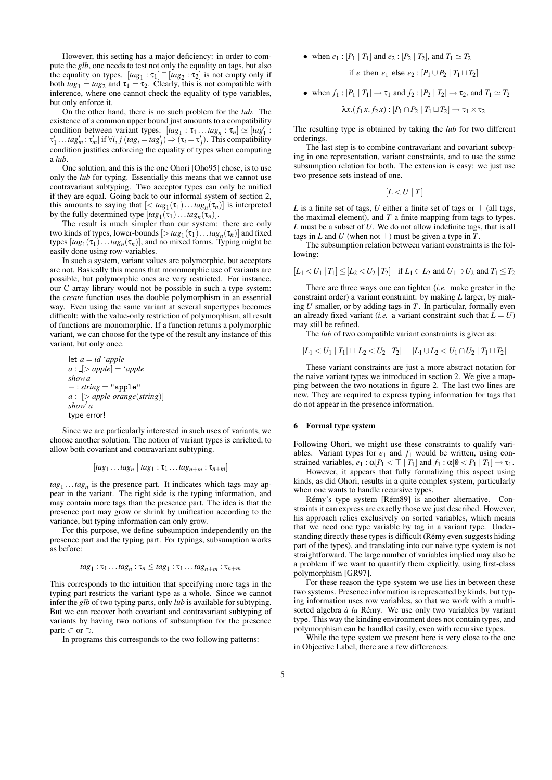However, this setting has a major deficiency: in order to compute the *glb*, one needs to test not only the equality on tags, but also the equality on types.  $[tag_1 : \tau_1] \sqcap [tag_2 : \tau_2]$  is not empty only if both  $tag_1 = tag_2$  and  $\tau_1 = \tau_2$ . Clearly, this is not compatible with inference, where one cannot check the equality of type variables, but only enforce it.

On the other hand, there is no such problem for the *lub*. The existence of a common upper bound just amounts to a compatibility condition between variant types:  $[tag_1 : \tau_1 ... tag_n : \tau_n] \simeq [tag_1']$ :  $\tau'_1 \dots tag'_m : \tau'_m$  if  $\forall i, j \ (tag_i = tag'_j) \Rightarrow (\tau_i = \tau'_j)$ . This compatibility condition justifies enforcing the equality of types when computing a *lub*.

One solution, and this is the one Ohori [Oho95] chose, is to use only the *lub* for typing. Essentially this means that we cannot use contravariant subtyping. Two acceptor types can only be unified if they are equal. Going back to our informal system of section 2, this amounts to saying that  $\left[ < tag_1(\tau_1) \dots tag_n(\tau_n) \right]$  is interpreted by the fully determined type  $[tag_1(\tau_1)... tag_n(\tau_n)]$ .

The result is much simpler than our system: there are only two kinds of types, lower-bounds  $[> tag_1(\tau_1)... tag_n(\tau_n)]$  and fixed types  $[tag_1(\tau_1)... tag_n(\tau_n)]$ , and no mixed forms. Typing might be easily done using row-variables.

In such a system, variant values are polymorphic, but acceptors are not. Basically this means that monomorphic use of variants are possible, but polymorphic ones are very restricted. For instance, our C array library would not be possible in such a type system: the *create* function uses the double polymorphism in an essential way. Even using the same variant at several supertypes becomes difficult: with the value-only restriction of polymorphism, all result of functions are monomorphic. If a function returns a polymorphic variant, we can choose for the type of the result any instance of this variant, but only once.

let 
$$
a = id
$$
 'apple  
\n $a : [> apple] = 'apple$   
\nshow a  
\n $- : string = "apple"\n $a : [> apple orange(string)]$   
\nshow' a  
\ntype error!$ 

Since we are particularly interested in such uses of variants, we choose another solution. The notion of variant types is enriched, to allow both covariant and contravariant subtyping.

$$
[tag_1...tag_n | tag_1:\tau_1...tag_{n+m}:\tau_{n+m}]
$$

 $tag_1$  ...*tag<sub>n</sub>* is the presence part. It indicates which tags may appear in the variant. The right side is the typing information, and may contain more tags than the presence part. The idea is that the presence part may grow or shrink by unification according to the variance, but typing information can only grow.

For this purpose, we define subsumption independently on the presence part and the typing part. For typings, subsumption works as before:

$$
tag_1: \tau_1...tag_n: \tau_n \leq tag_1: \tau_1...tag_{n+m}: \tau_{n+m}
$$

This corresponds to the intuition that specifying more tags in the typing part restricts the variant type as a whole. Since we cannot infer the *glb* of two typing parts, only *lub* is available for subtyping. But we can recover both covariant and contravariant subtyping of variants by having two notions of subsumption for the presence part: *⊂* or *⊃*.

In programs this corresponds to the two following patterns:

• when  $e_1$ :  $[P_1 | T_1]$  and  $e_2$ :  $[P_2 | T_2]$ , and  $T_1 \simeq T_2$ 

if *e* then 
$$
e_1
$$
 else  $e_2$ :  $[P_1 \cup P_2 | T_1 \cup T_2]$ 

\n- when 
$$
f_1: [P_1 | T_1] \rightarrow \tau_1
$$
 and  $f_2: [P_2 | T_2] \rightarrow \tau_2$ , and  $T_1 \simeq T_2$
\n- $\lambda x. (f_1 x, f_2 x): [P_1 \cap P_2 | T_1 \sqcup T_2] \rightarrow \tau_1 \times \tau_2$
\n

The resulting type is obtained by taking the *lub* for two different orderings.

The last step is to combine contravariant and covariant subtyping in one representation, variant constraints, and to use the same subsumption relation for both. The extension is easy: we just use two presence sets instead of one.

$$
[L < U \mid T]
$$

*L* is a finite set of tags, *U* either a finite set of tags or  $\top$  (all tags, the maximal element), and *T* a finite mapping from tags to types. *L* must be a subset of *U*. We do not allow indefinite tags, that is all tags in *L* and *U* (when not  $\top$ ) must be given a type in *T*.

The subsumption relation between variant constraints is the following:

$$
[L_1 < U_1 | T_1] \le [L_2 < U_2 | T_2]
$$
 if  $L_1 \subset L_2$  and  $U_1 \supset U_2$  and  $T_1 \le T_2$ 

There are three ways one can tighten (*i.e.* make greater in the constraint order) a variant constraint: by making *L* larger, by making *U* smaller, or by adding tags in *T*. In particular, formally even an already fixed variant (*i.e.* a variant constraint such that  $\overline{L} = U$ ) may still be refined.

The *lub* of two compatible variant constraints is given as:

$$
[L_1 < U_1 \mid T_1] \sqcup [L_2 < U_2 \mid T_2] = [L_1 \cup L_2 < U_1 \cap U_2 \mid T_1 \sqcup T_2]
$$

These variant constraints are just a more abstract notation for the naive variant types we introduced in section 2. We give a mapping between the two notations in figure 2. The last two lines are new. They are required to express typing information for tags that do not appear in the presence information.

## 6 Formal type system

Following Ohori, we might use these constraints to qualify variables. Variant types for  $e_1$  and  $f_1$  would be written, using constrained variables,  $e_1 : \alpha | P_1 < \top | T_1 |$  and  $f_1 : \alpha | \mathbf{0} < P_1 | T_1 | \rightarrow \tau_1$ .

However, it appears that fully formalizing this aspect using kinds, as did Ohori, results in a quite complex system, particularly when one wants to handle recursive types.

Rémy's type system [Rém89] is another alternative. Constraints it can express are exactly those we just described. However, his approach relies exclusively on sorted variables, which means that we need one type variable by tag in a variant type. Understanding directly these types is difficult (Rémy even suggests hiding part of the types), and translating into our naive type system is not straightforward. The large number of variables implied may also be a problem if we want to quantify them explicitly, using first-class polymorphism [GR97].

For these reason the type system we use lies in between these two systems. Presence information is represented by kinds, but typing information uses row variables, so that we work with a multisorted algebra  $\dot{a}$  *la* Rémy. We use only two variables by variant type. This way the kinding environment does not contain types, and polymorphism can be handled easily, even with recursive types.

While the type system we present here is very close to the one in Objective Label, there are a few differences: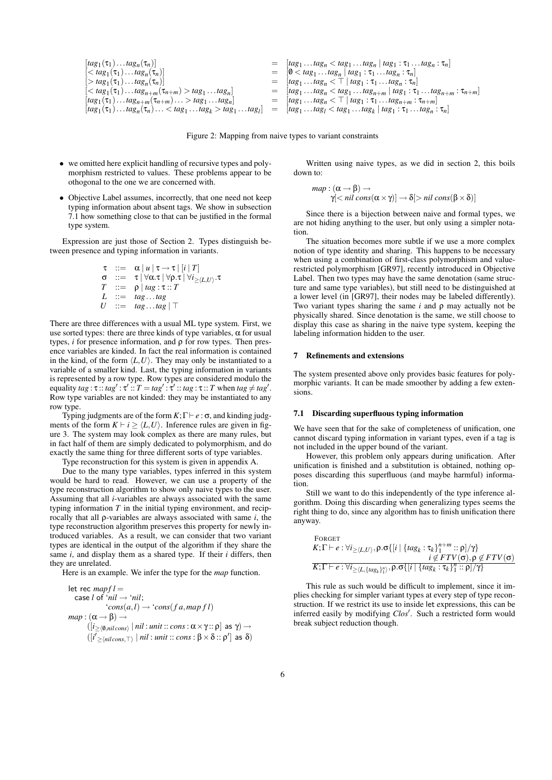$$
\begin{array}{llll}\n[tag_{1}(\tau_{1})...tag_{n}(\tau_{n})] & = & [tag_{1}...tag_{n} \cdot \tau_{n}] \\
[< tag_{1}(\tau_{1})...tag_{n}(\tau_{n})] & = & [0 < tag_{1}...tag_{n} \cdot \tau_{n}] \\
[> tag_{1}(\tau_{1})...tag_{n}(\tau_{n})] & = & [tag_{1}...tag_{n} \cdot \tau_{n}] \\
[< tag_{1}(\tau_{1})...tag_{n+m}(\tau_{n+m}) > tag_{1}...tag_{n}] & = & [tag_{1}...tag_{n} \cdot \tau_{1}...tag_{n} \cdot \tau_{n}] \\
[tag_{1}(\tau_{1})...tag_{n+m}(\tau_{n+m})... > tag_{1}...tag_{n}\n\end{array}
$$
\n
$$
\begin{array}{llll}\n[tag_{1}(\tau_{1})...tag_{n+m}(\tau_{n+m}) > id_{n+m}(\tau_{n+m}) > id_{n+m} \\
[tag_{1}(\tau_{1})...tag_{n+m}(\tau_{n+m})... > tag_{1}...tag_{n}\n\end{array}
$$
\n
$$
\begin{array}{llll}\n[tag_{1}(\tau_{1})...tag_{n+m}(\tau_{n+m})... > id_{n}\n\end{array}
$$
\n
$$
\begin{array}{llll}\n[tag_{1}(\tau_{1})...tag_{n+m}(\tau_{n+m})... > id_{n}\n\end{array}
$$
\n
$$
\begin{array}{llll}\n[tag_{1}(\tau_{1})...tag_{n+m}(\tau_{n+m})... > id_{n}\n\end{array}
$$
\n
$$
\begin{array}{llll}\n[tag_{1}(\tau_{1})...tag_{n+m}(\tau_{n+m})... > id_{n}\n\end{array}
$$

Figure 2: Mapping from naive types to variant constraints

- *•* we omitted here explicit handling of recursive types and polymorphism restricted to values. These problems appear to be othogonal to the one we are concerned with.
- Objective Label assumes, incorrectly, that one need not keep typing information about absent tags. We show in subsection 7.1 how something close to that can be justified in the formal type system.

Expression are just those of Section 2. Types distinguish between presence and typing information in variants.

$$
\begin{array}{rcl}\n\tau & ::= & \alpha \mid u \mid \tau \rightarrow \tau \mid [i \mid T] \\
\sigma & ::= & \tau \mid \forall \alpha.\tau \mid \forall \rho.\tau \mid \forall i \geq \langle L, U \rangle.\tau \\
T & ::= & \rho \mid tag : \tau :: T \\
L & ::= & tag \dots tag \\
U & ::= & tag \dots tag \mid \top\n\end{array}
$$

There are three differences with a usual ML type system. First, we use sorted types: there are three kinds of type variables,  $\alpha$  for usual types, *i* for presence information, and ρ for row types. Then presence variables are kinded. In fact the real information is contained in the kind, of the form  $\langle L, U \rangle$ . They may only be instantiated to a variable of a smaller kind. Last, the typing information in variants is represented by a row type. Row types are considered modulo the equality  $tag: \tau :: tag' : \tau' :: T = tag' : \tau' :: tag :: tag : \tau :: T$  when  $tag \neq tag'$ . Row type variables are not kinded: they may be instantiated to any row type.

Typing judgments are of the form *K*;Γ *` e* : σ, and kinding judgments of the form  $K \vdash i \geq \langle L, U \rangle$ . Inference rules are given in figure 3. The system may look complex as there are many rules, but in fact half of them are simply dedicated to polymorphism, and do exactly the same thing for three different sorts of type variables.

Type reconstruction for this system is given in appendix A.

Due to the many type variables, types inferred in this system would be hard to read. However, we can use a property of the type reconstruction algorithm to show only naive types to the user. Assuming that all *i*-variables are always associated with the same typing information *T* in the initial typing environment, and reciprocally that all ρ-variables are always associated with same *i*, the type reconstruction algorithm preserves this property for newly introduced variables. As a result, we can consider that two variant types are identical in the output of the algorithm if they share the same *i*, and display them as a shared type. If their *i* differs, then they are unrelated.

Here is an example. We infer the type for the *map* function.

let rec *mapf l* = case *l* of '*nil →* '*nil*; '*cons*(*a,l*) *→* '*cons*(*f a,map f l*) *map* : (α *→* β) *→* ([*i≥h*0/*,nil cons<sup>i</sup> | nil* : *unit* :: *cons*: α*×*γ :: ρ] as γ) *→* ([*i 0 ≥hnil cons,>i | nil* : *unit* :: *cons* : β*×*δ :: ρ *0* ] as δ)

Written using naive types, as we did in section 2, this boils down to:

$$
map: (\alpha \rightarrow \beta) \rightarrow \gamma[< nil cons(\alpha \times \gamma)] \rightarrow \delta[> nil cons(\beta \times \delta)]
$$

Since there is a bijection between naive and formal types, we are not hiding anything to the user, but only using a simpler notation.

The situation becomes more subtle if we use a more complex notion of type identity and sharing. This happens to be necessary when using a combination of first-class polymorphism and valuerestricted polymorphism [GR97], recently introduced in Objective Label. Then two types may have the same denotation (same structure and same type variables), but still need to be distinguished at a lower level (in [GR97], their nodes may be labeled differently). Two variant types sharing the same *i* and ρ may actually not be physically shared. Since denotation is the same, we still choose to display this case as sharing in the naive type system, keeping the labeling information hidden to the user.

## 7 Refinements and extensions

The system presented above only provides basic features for polymorphic variants. It can be made smoother by adding a few extensions.

#### 7.1 Discarding superfluous typing information

We have seen that for the sake of completeness of unification, one cannot discard typing information in variant types, even if a tag is not included in the upper bound of the variant.

However, this problem only appears during unification. After unification is finished and a substitution is obtained, nothing opposes discarding this superfluous (and maybe harmful) information.

Still we want to do this independently of the type inference algorithm. Doing this discarding when generalizing types seems the right thing to do, since any algorithm has to finish unification there anyway.

\n
$$
\text{FORGET}
$$
\n $K; \Gamma \vdash e : \forall i_{\geq \langle L, U \rangle}, \rho. \sigma\{[i \mid \{tag_k : \tau_k\}_{1}^{n+m} :: \rho]/\gamma\}$ \n $i \notin FTV(\sigma), \rho \notin FTV(\sigma)$ \n

\n\n $K; \Gamma \vdash e : \forall i_{\geq \langle L, \{tag_k\}_{1}^{n}\rangle}, \rho. \sigma\{[i \mid \{tag_k : \tau_k\}_{1}^{n} :: \rho]/\gamma\}$ \n

This rule as such would be difficult to implement, since it implies checking for simpler variant types at every step of type reconstruction. If we restrict its use to inside let expressions, this can be inferred easily by modifying Clos'. Such a restricted form would break subject reduction though.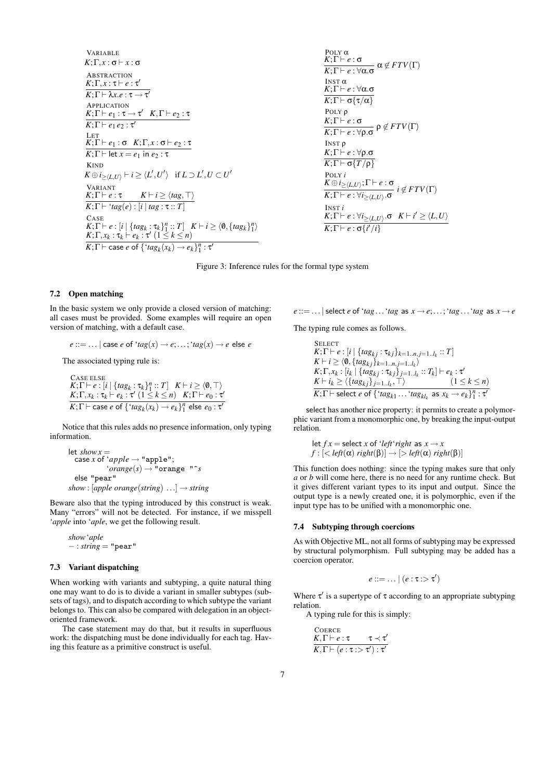VARIABLE  
\nK; 
$$
\Gamma, x : \sigma \vdash x : \sigma
$$
  
\nABSTRACTION  
\nK;  $\Gamma, x : \tau \vdash e : \tau'$   
\nAPPLICATION  
\nK;  $\Gamma \vdash \lambda x.e : \tau \rightarrow \tau'$   
\nAPPLICATION  
\nK;  $\Gamma \vdash e_1 : \tau \rightarrow \tau' \quad K, \Gamma \vdash e_2 : \tau$   
\nLET  
\nK;  $\Gamma \vdash e_1 : \sigma \quad K; \Gamma, x : \sigma \vdash e_2 : \tau$   
\nK;  $\Gamma \vdash \text{let } x = e_1 \text{ in } e_2 : \tau$   
\nKIND  
\nK  $\oplus i_{\geq \langle L, U \rangle} \vdash i \geq \langle L', U' \rangle \quad \text{if } L \supset L', U \subset U'$   
\nVARIANT  
\nK;  $\Gamma \vdash e : \tau \quad K \vdash i \geq \langle tag, \top \rangle$   
\nK;  $\Gamma \vdash \forall tag(e) : [i \mid tag : \tau : T]$   
\nCASE  
\nK;  $\Gamma \vdash e : [i \mid \{tag_k : \tau_k\}_1^n :: T] \quad K \vdash i \geq \langle 0, \{tag_k\}_1^n \rangle$   
\nK;  $\Gamma, x_k : \tau_k \vdash e_k : \tau' \ (1 \leq k \leq n)$   
\nK;  $\Gamma \vdash \text{case } \sigma \ \{\text{if } ag_k(x_k) \rightarrow e_k\}_1^n : \tau'$ 

$$
POLY α\nK; Γ ⊢ e : σ\nK; Γ ⊢ e : ∞α. σ\nK; Γ ⊢ e : ∨α. σ\nK; Γ ⊢ e : ∨α. σ\nK; Γ ⊢ e : ∨α. σ\nK; Γ ⊢ e : ∞α.\n\nPOLY ρ\nK; Γ ⊢ e : ∞ρ.\nG\nK; Γ ⊢ e : ∨ρ. σ\nK; Γ ⊢ e : ∨ρ. σ\nK; Γ ⊢ e : ∨ρ. σ\nK; Γ ⊢ σ {T/ρ}\n\nPOLY i\nK ⊕ Τ ≥ (L, U) : Γ ⊢ e : σ\nK; Γ ⊢ e : ∨i ≥ (L, U) . σ\nINST i\nK; Γ ⊢ e : ∨i ≥ (L, U) . σ\nK; Γ ⊢ e : √i ≥ (L, U) . σ\nK; Γ ⊢ e : ∞i ≥ (L, U) . σ\nK; Γ ⊢ e : σ {i' / i}
$$



## 7.2 Open matching

In the basic system we only provide a closed version of matching: all cases must be provided. Some examples will require an open version of matching, with a default case.

 $e ::= ...$  *|* case  $e$  of  $'$ *tag*( $x$ )  $\rightarrow$   $e$ ;...;  $'$ *tag*( $x$ )  $\rightarrow$   $e$  else  $e$ 

The associated typing rule is:

CASE ELSE  $K; \Gamma \vdash e : [i \mid \{ tag_k : \tau_k\}_1^n :: T] \quad K \vdash i \geq \langle 0, \top \rangle$ *K*; Γ,  $x_k$  :  $\tau_k$   $\vdash e_k$  : τ'  $(1 \leq k \leq n)$   $K$ ; Γ  $\vdash e_0$  : τ'  $\overline{K}$ ;  $\Gamma$   $\vdash$  case *e* of  $\{$  ' $tag{}x_k) \rightarrow e_k\}^n_1$  else  $e_0$  :  $\tau'$ 

Notice that this rules adds no presence information, only typing information.

let 
$$
showx =
$$
  
\n $case x of 'apple \rightarrow "apple";$   
\n $'orange(s) \rightarrow "orange "s$   
\nelse "pear"  
\nshow : [apple orange(String) ...]  $\rightarrow string$ 

Beware also that the typing introduced by this construct is weak. Many "errors" will not be detected. For instance, if we misspell '*apple* into '*aple*, we get the following result.

*show*'*aple −* : *string* = "pear"

# 7.3 Variant dispatching

When working with variants and subtyping, a quite natural thing one may want to do is to divide a variant in smaller subtypes (subsets of tags), and to dispatch according to which subtype the variant belongs to. This can also be compared with delegation in an objectoriented framework.

The case statement may do that, but it results in superfluous work: the dispatching must be done individually for each tag. Having this feature as a primitive construct is useful.

 $e ::= ...$  | select *e* of '*tag*...'*tag* as  $x \rightarrow e$ ;...;'*tag*...'*tag* as  $x \rightarrow e$ 

The typing rule comes as follows.

**SELECT**  $K; \Gamma \vdash e : [i \mid \{ tag_{kj} : \tau_{kj} \}_{k=1..n, j=1..l_k} :: T]$  $K \vdash i \geq \langle 0, \{tag_{kj}\}_{k=1..n, j=1..l_k} \rangle$  $K;\Gamma,x_k:[i_k\mid \{tag_{k}\mid x_{kj}: \tau_{kj}\}_{j=1..l_k}: T_k]\vdash e_k:\tau'$  $K \vdash i_k \ge \langle \{ tag_{kj} \} \}_{j=1..l_k}, \top \rangle$  (1 *≤ k ≤ n*) *K*;Γ  $\vdash$  select *e* of  $\{ \text{`tag}_{k1} \ldots \text{`tag}_{k l_k}$  as  $x_k \rightarrow e_k \}_1^n$  : τ'

select has another nice property: it permits to create a polymorphic variant from a monomorphic one, by breaking the input-output relation.

$$
\begin{aligned}\n\text{let } f \, x &= \text{select } x \text{ of } \text{'} \text{left' right as } x \to x \\
f : \left[ \langle \text{left}(\alpha) \text{ right}(\beta) \right] \to \left[ \rangle \text{ left}(\alpha) \text{ right}(\beta) \right] \right]\n\end{aligned}
$$

This function does nothing: since the typing makes sure that only *a* or *b* will come here, there is no need for any runtime check. But it gives different variant types to its input and output. Since the output type is a newly created one, it is polymorphic, even if the input type has to be unified with a monomorphic one.

#### 7.4 Subtyping through coercions

As with Objective ML, not all forms of subtyping may be expressed by structural polymorphism. Full subtyping may be added has a coercion operator.

$$
e ::= \dots | (e : \tau : > \tau')
$$

Where  $\tau'$  is a supertype of  $\tau$  according to an appropriate subtyping relation.

A typing rule for this is simply:

$$
\text{Coence}\n\begin{array}{ll}\nK, \Gamma \vdash e : \tau & \tau \prec \tau' \\
\hline\nK, \Gamma \vdash (e : \tau : > \tau') : \tau'\n\end{array}
$$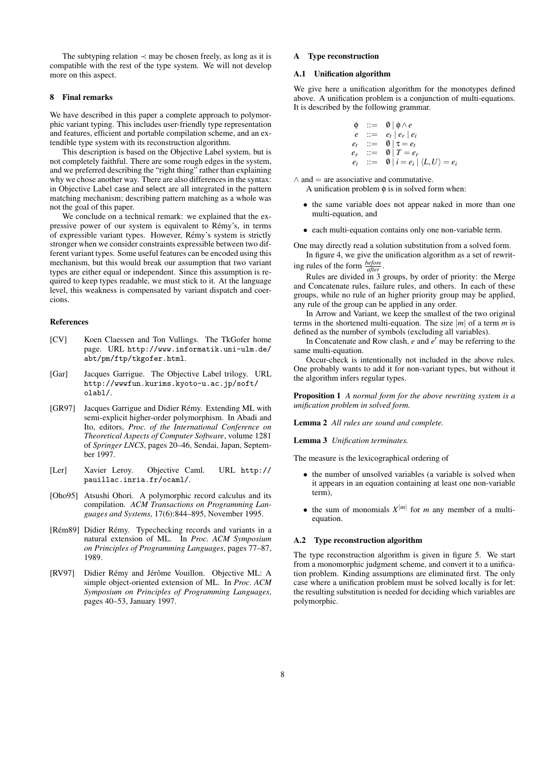The subtyping relation *≺* may be chosen freely, as long as it is compatible with the rest of the type system. We will not develop more on this aspect.

## 8 Final remarks

We have described in this paper a complete approach to polymorphic variant typing. This includes user-friendly type representation and features, efficient and portable compilation scheme, and an extendible type system with its reconstruction algorithm.

This description is based on the Objective Label system, but is not completely faithful. There are some rough edges in the system, and we preferred describing the "right thing" rather than explaining why we chose another way. There are also differences in the syntax: in Objective Label case and select are all integrated in the pattern matching mechanism; describing pattern matching as a whole was not the goal of this paper.

We conclude on a technical remark: we explained that the expressive power of our system is equivalent to Remy's, in terms ´ of expressible variant types. However, Rémy's system is strictly stronger when we consider constraints expressible between two different variant types. Some useful features can be encoded using this mechanism, but this would break our assumption that two variant types are either equal or independent. Since this assumption is required to keep types readable, we must stick to it. At the language level, this weakness is compensated by variant dispatch and coercions.

## References

- [CV] Koen Claessen and Ton Vullings. The TkGofer home page. URL http://www.informatik.uni-ulm.de/ abt/pm/ftp/tkgofer.html.
- [Gar] Jacques Garrigue. The Objective Label trilogy. URL http://wwwfun.kurims.kyoto-u.ac.jp/soft/ olabl/.
- [GR97] Jacques Garrigue and Didier Rémy. Extending ML with semi-explicit higher-order polymorphism. In Abadi and Ito, editors, *Proc. of the International Conference on Theoretical Aspects of Computer Software*, volume 1281 of *Springer LNCS*, pages 20–46, Sendai, Japan, September 1997.
- [Ler] Xavier Leroy. Objective Caml. URL http:// pauillac.inria.fr/ocaml/.
- [Oho95] Atsushi Ohori. A polymorphic record calculus and its compilation. *ACM Transactions on Programming Languages and Systems*, 17(6):844–895, November 1995.
- [Rém89] Didier Rémy. Typechecking records and variants in a natural extension of ML. In *Proc. ACM Symposium on Principles of Programming Languages*, pages 77–87, 1989.
- [RV97] Didier Rémy and Jérôme Vouillon. Objective ML: A simple object-oriented extension of ML. In *Proc. ACM Symposium on Principles of Programming Languages*, pages 40–53, January 1997.

## A Type reconstruction

## A.1 Unification algorithm

We give here a unification algorithm for the monotypes defined above. A unification problem is a conjunction of multi-equations. It is described by the following grammar.

$$
\begin{array}{lll}\n\phi & ::= & 0 \mid \phi \wedge e \\
e & ::= & e_t \mid e_r \mid e_i \\
e_t & ::= & 0 \mid \tau = e_t \\
e_r & ::= & 0 \mid T = e_r \\
e_i & ::= & 0 \mid i = e_i \mid \langle L, U \rangle = e_i\n\end{array}
$$

*∧* and = are associative and commutative.

A unification problem  $\phi$  is in solved form when:

- the same variable does not appear naked in more than one multi-equation, and
- *•* each multi-equation contains only one non-variable term.

One may directly read a solution substitution from a solved form. In figure 4, we give the unification algorithm as a set of rewrit-

ing rules of the form *before after* . Rules are divided in 3 groups, by order of priority: the Merge

and Concatenate rules, failure rules, and others. In each of these groups, while no rule of an higher priority group may be applied, any rule of the group can be applied in any order.

In Arrow and Variant, we keep the smallest of the two original terms in the shortened multi-equation. The size  $|m|$  of a term *m* is defined as the number of symbols (excluding all variables).

In Concatenate and Row clash,  $e$  and  $e'$  may be referring to the same multi-equation.

Occur-check is intentionally not included in the above rules. One probably wants to add it for non-variant types, but without it the algorithm infers regular types.

Proposition 1 *A normal form for the above rewriting system is a unification problem in solved form.*

Lemma 2 *All rules are sound and complete.*

Lemma 3 *Unification terminates.*

The measure is the lexicographical ordering of

- *•* the number of unsolved variables (a variable is solved when it appears in an equation containing at least one non-variable term),
- the sum of monomials  $X^{|m|}$  for *m* any member of a multiequation.

## A.2 Type reconstruction algorithm

The type reconstruction algorithm is given in figure 5. We start from a monomorphic judgment scheme, and convert it to a unification problem. Kinding assumptions are eliminated first. The only case where a unification problem must be solved locally is for let: the resulting substitution is needed for deciding which variables are polymorphic.